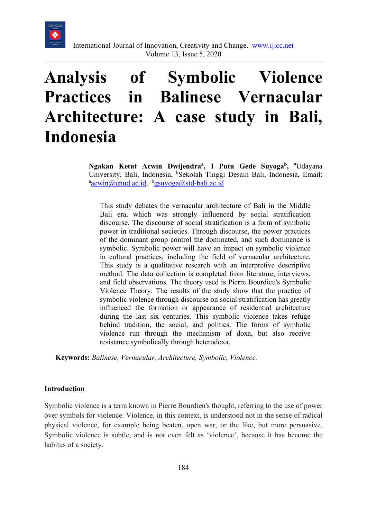

# **Analysis of Symbolic Violence Practices in Balinese Vernacular Architecture: A case study in Bali, Indonesia**

Ngakan Ketut Acwin Dwijendra<sup>a</sup>, I Putu Gede Suyoga<sup>b</sup>, <sup>a</sup>Udayana University, Bali, Indonesia, <sup>b</sup>Sekolah Tinggi Desain Bali, Indonesia, Email: acain acain acain acain acain acain acain acain acain acain acain acain acain acain acain acain acain acain acain acain acain acain acain acain [acwin@unud.ac.id,](mailto:acwin@unud.ac.id) b[gsuyoga@std-bali.ac.id](mailto:gsuyoga@std-bali.ac.id)

This study debates the vernacular architecture of Bali in the Middle Bali era, which was strongly influenced by social stratification discourse. The discourse of social stratification is a form of symbolic power in traditional societies. Through discourse, the power practices of the dominant group control the dominated, and such dominance is symbolic. Symbolic power will have an impact on symbolic violence in cultural practices, including the field of vernacular architecture. This study is a qualitative research with an interpretive descriptive method. The data collection is completed from literature, interviews, and field observations. The theory used is Pierre Bourdieu's Symbolic Violence Theory. The results of the study show that the practice of symbolic violence through discourse on social stratification has greatly influenced the formation or appearance of residential architecture during the last six centuries. This symbolic violence takes refuge behind tradition, the social, and politics. The forms of symbolic violence run through the mechanism of doxa, but also receive resistance symbolically through heterodoxa.

**Keywords:** *Balinese, Vernacular, Architecture, Symbolic, Violence.* 

#### **Introduction**

Symbolic violence is a term known in Pierre Bourdieu's thought, referring to the use of power over symbols for violence. Violence, in this context, is understood not in the sense of radical physical violence, for example being beaten, open war, or the like, but more persuasive. Symbolic violence is subtle, and is not even felt as 'violence', because it has become the habitus of a society.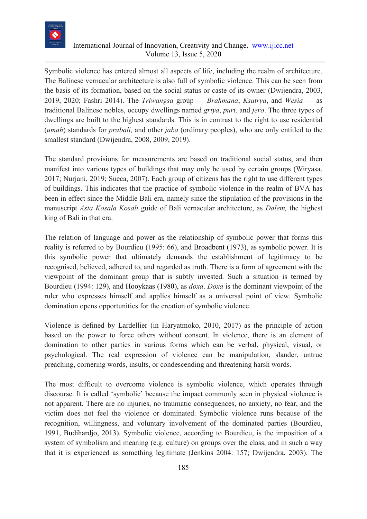

# International Journal of Innovation, Creativity and Change. [www.ijicc.net](http://www.ijicc.net/) Volume 13, Issue 5, 2020

Symbolic violence has entered almost all aspects of life, including the realm of architecture. The Balinese vernacular architecture is also full of symbolic violence. This can be seen from the basis of its formation, based on the social status or caste of its owner (Dwijendra, 2003, 2019, 2020; Fashri 2014). The *Triwangsa* group — *Brahmana*, *Ksatrya*, and *Wesia* — as traditional Balinese nobles, occupy dwellings named *griya*, *puri,* and *jero*. The three types of dwellings are built to the highest standards. This is in contrast to the right to use residential (*umah*) standards for *prabali,* and other *jaba* (ordinary peoples), who are only entitled to the smallest standard (Dwijendra, 2008, 2009, 2019).

The standard provisions for measurements are based on traditional social status, and then manifest into various types of buildings that may only be used by certain groups (Wiryasa, 2017; Nurjani, 2019; Sueca, 2007). Each group of citizens has the right to use different types of buildings. This indicates that the practice of symbolic violence in the realm of BVA has been in effect since the Middle Bali era, namely since the stipulation of the provisions in the manuscript *Asta Kosala Kosali* guide of Bali vernacular architecture, as *Dalem,* the highest king of Bali in that era.

The relation of language and power as the relationship of symbolic power that forms this reality is referred to by Bourdieu (1995: 66), and Broadbent (1973), as symbolic power. It is this symbolic power that ultimately demands the establishment of legitimacy to be recognised, believed, adhered to, and regarded as truth. There is a form of agreement with the viewpoint of the dominant group that is subtly invested. Such a situation is termed by Bourdieu (1994: 129), and Hooykaas (1980), as *doxa*. *Doxa* is the dominant viewpoint of the ruler who expresses himself and applies himself as a universal point of view. Symbolic domination opens opportunities for the creation of symbolic violence.

Violence is defined by Lardellier (in Haryatmoko, 2010, 2017) as the principle of action based on the power to force others without consent. In violence, there is an element of domination to other parties in various forms which can be verbal, physical, visual, or psychological. The real expression of violence can be manipulation, slander, untrue preaching, cornering words, insults, or condescending and threatening harsh words.

The most difficult to overcome violence is symbolic violence, which operates through discourse. It is called 'symbolic' because the impact commonly seen in physical violence is not apparent. There are no injuries, no traumatic consequences, no anxiety, no fear, and the victim does not feel the violence or dominated. Symbolic violence runs because of the recognition, willingness, and voluntary involvement of the dominated parties (Bourdieu, 1991, Budihardjo, 2013). Symbolic violence, according to Bourdieu, is the imposition of a system of symbolism and meaning (e.g. culture) on groups over the class, and in such a way that it is experienced as something legitimate (Jenkins 2004: 157; Dwijendra, 2003). The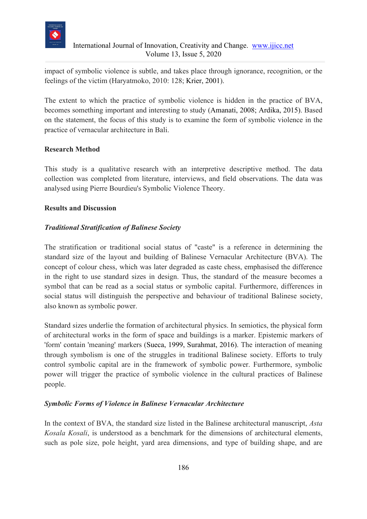

impact of symbolic violence is subtle, and takes place through ignorance, recognition, or the feelings of the victim (Haryatmoko, 2010: 128; Krier, 2001).

The extent to which the practice of symbolic violence is hidden in the practice of BVA, becomes something important and interesting to study (Amanati, 2008; Ardika, 2015). Based on the statement, the focus of this study is to examine the form of symbolic violence in the practice of vernacular architecture in Bali.

### **Research Method**

This study is a qualitative research with an interpretive descriptive method. The data collection was completed from literature, interviews, and field observations. The data was analysed using Pierre Bourdieu's Symbolic Violence Theory.

# **Results and Discussion**

# *Traditional Stratification of Balinese Society*

The stratification or traditional social status of "caste" is a reference in determining the standard size of the layout and building of Balinese Vernacular Architecture (BVA). The concept of colour chess, which was later degraded as caste chess, emphasised the difference in the right to use standard sizes in design. Thus, the standard of the measure becomes a symbol that can be read as a social status or symbolic capital. Furthermore, differences in social status will distinguish the perspective and behaviour of traditional Balinese society, also known as symbolic power.

Standard sizes underlie the formation of architectural physics. In semiotics, the physical form of architectural works in the form of space and buildings is a marker. Epistemic markers of 'form' contain 'meaning' markers (Sueca, 1999, Surahmat, 2016). The interaction of meaning through symbolism is one of the struggles in traditional Balinese society. Efforts to truly control symbolic capital are in the framework of symbolic power. Furthermore, symbolic power will trigger the practice of symbolic violence in the cultural practices of Balinese people.

### *Symbolic Forms of Violence in Balinese Vernacular Architecture*

In the context of BVA, the standard size listed in the Balinese architectural manuscript, *Asta Kosala Kosali*, is understood as a benchmark for the dimensions of architectural elements, such as pole size, pole height, yard area dimensions, and type of building shape, and are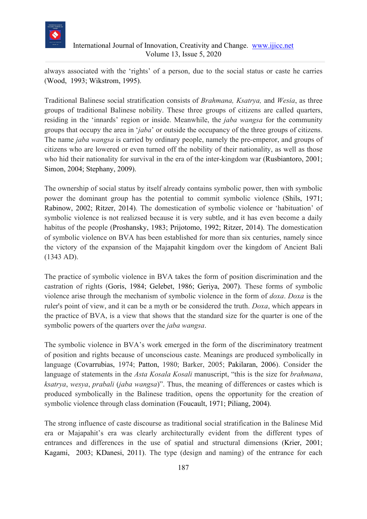

### International Journal of Innovation, Creativity and Change. [www.ijicc.net](http://www.ijicc.net/) Volume 13, Issue 5, 2020

always associated with the 'rights' of a person, due to the social status or caste he carries (Wood, 1993; Wikstrom, 1995).

Traditional Balinese social stratification consists of *Brahmana, Ksatrya,* and *Wesia*, as three groups of traditional Balinese nobility. These three groups of citizens are called quarters, residing in the 'innards' region or inside. Meanwhile, the *jaba wangsa* for the community groups that occupy the area in '*jaba*' or outside the occupancy of the three groups of citizens. The name *jaba wangsa* is carried by ordinary people, namely the pre-emperor, and groups of citizens who are lowered or even turned off the nobility of their nationality, as well as those who hid their nationality for survival in the era of the inter-kingdom war (Rusbiantoro, 2001; Simon, 2004; Stephany, 2009).

The ownership of social status by itself already contains symbolic power, then with symbolic power the dominant group has the potential to commit symbolic violence (Shils, 1971; Rabinow, 2002; Ritzer, 2014). The domestication of symbolic violence or 'habituation' of symbolic violence is not realizsed because it is very subtle, and it has even become a daily habitus of the people (Proshansky, 1983; Prijotomo, 1992; Ritzer, 2014). The domestication of symbolic violence on BVA has been established for more than six centuries, namely since the victory of the expansion of the Majapahit kingdom over the kingdom of Ancient Bali (1343 AD).

The practice of symbolic violence in BVA takes the form of position discrimination and the castration of rights (Goris, 1984; Gelebet, 1986; Geriya, 2007). These forms of symbolic violence arise through the mechanism of symbolic violence in the form of *doxa*. *Doxa* is the ruler's point of view, and it can be a myth or be considered the truth. *Doxa*, which appears in the practice of BVA, is a view that shows that the standard size for the quarter is one of the symbolic powers of the quarters over the *jaba wangsa*.

The symbolic violence in BVA's work emerged in the form of the discriminatory treatment of position and rights because of unconscious caste. Meanings are produced symbolically in language (Covarrubias, 1974; Patton, 1980; Barker, 2005; Pakilaran, 2006). Consider the language of statements in the *Asta Kosala Kosali* manuscript, "this is the size for *brahmana*, *ksatrya*, *wesya*, *prabali* (*jaba wangsa*)". Thus, the meaning of differences or castes which is produced symbolically in the Balinese tradition, opens the opportunity for the creation of symbolic violence through class domination (Foucault, 1971; Piliang, 2004).

The strong influence of caste discourse as traditional social stratification in the Balinese Mid era or Majapahit's era was clearly architecturally evident from the different types of entrances and differences in the use of spatial and structural dimensions (Krier, 2001; Kagami, 2003; KDanesi, 2011). The type (design and naming) of the entrance for each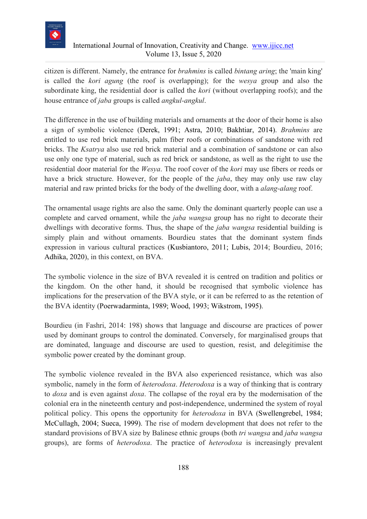

# International Journal of Innovation, Creativity and Change. [www.ijicc.net](http://www.ijicc.net/) Volume 13, Issue 5, 2020

citizen is different. Namely, the entrance for *brahmins* is called *bintang aring*; the 'main king' is called the *kori agung* (the roof is overlapping); for the *wesya* group and also the subordinate king, the residential door is called the *kori* (without overlapping roofs); and the house entrance of *jaba* groups is called *angkul-angkul*.

The difference in the use of building materials and ornaments at the door of their home is also a sign of symbolic violence (Derek, 1991; Astra, 2010; Bakhtiar, 2014). *Brahmins* are entitled to use red brick materials, palm fiber roofs or combinations of sandstone with red bricks. The *Ksatrya* also use red brick material and a combination of sandstone or can also use only one type of material, such as red brick or sandstone, as well as the right to use the residential door material for the *Wesya*. The roof cover of the *kori* may use fibers or reeds or have a brick structure. However, for the people of the *jaba*, they may only use raw clay material and raw printed bricks for the body of the dwelling door, with a *alang-alang* roof.

The ornamental usage rights are also the same. Only the dominant quarterly people can use a complete and carved ornament, while the *jaba wangsa* group has no right to decorate their dwellings with decorative forms. Thus, the shape of the *jaba wangsa* residential building is simply plain and without ornaments. Bourdieu states that the dominant system finds expression in various cultural practices (Kusbiantoro, 2011; Lubis, 2014; Bourdieu, 2016; Adhika, 2020), in this context, on BVA.

The symbolic violence in the size of BVA revealed it is centred on tradition and politics or the kingdom. On the other hand, it should be recognised that symbolic violence has implications for the preservation of the BVA style, or it can be referred to as the retention of the BVA identity (Poerwadarminta, 1989; Wood, 1993; Wikstrom, 1995).

Bourdieu (in Fashri, 2014: 198) shows that language and discourse are practices of power used by dominant groups to control the dominated. Conversely, for marginalised groups that are dominated, language and discourse are used to question, resist, and delegitimise the symbolic power created by the dominant group.

The symbolic violence revealed in the BVA also experienced resistance, which was also symbolic, namely in the form of *heterodoxa*. *Heterodoxa* is a way of thinking that is contrary to *doxa* and is even against *doxa*. The collapse of the royal era by the modernisation of the colonial era in the nineteenth century and post-independence, undermined the system of royal political policy. This opens the opportunity for *heterodoxa* in BVA (Swellengrebel, 1984; McCullagh, 2004; Sueca, 1999). The rise of modern development that does not refer to the standard provisions of BVA size by Balinese ethnic groups (both *tri wangsa* and *jaba wangsa* groups), are forms of *heterodoxa*. The practice of *heterodoxa* is increasingly prevalent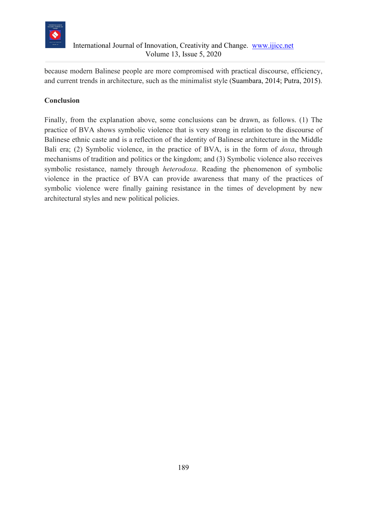

because modern Balinese people are more compromised with practical discourse, efficiency, and current trends in architecture, such as the minimalist style (Suambara, 2014; Putra, 2015).

# **Conclusion**

Finally, from the explanation above, some conclusions can be drawn, as follows. (1) The practice of BVA shows symbolic violence that is very strong in relation to the discourse of Balinese ethnic caste and is a reflection of the identity of Balinese architecture in the Middle Bali era; (2) Symbolic violence, in the practice of BVA, is in the form of *doxa*, through mechanisms of tradition and politics or the kingdom; and (3) Symbolic violence also receives symbolic resistance, namely through *heterodoxa*. Reading the phenomenon of symbolic violence in the practice of BVA can provide awareness that many of the practices of symbolic violence were finally gaining resistance in the times of development by new architectural styles and new political policies.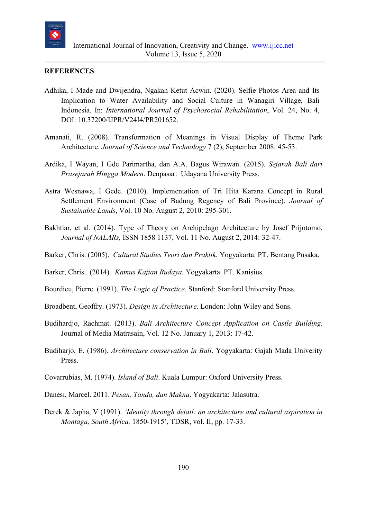

#### **REFERENCES**

- Adhika, I Made and Dwijendra, Ngakan Ketut Acwin. (2020). [Selfie Photos Area and Its](https://www.psychosocial.com/article/PR201652/13869/)  [Implication to Water Availability and Social Culture in Wanagiri Village, Bali](https://www.psychosocial.com/article/PR201652/13869/)  [Indonesia.](https://www.psychosocial.com/article/PR201652/13869/) In: *International Journal of Psychosocial Rehabilitation*, Vol. 24, No. 4, DOI: [10.37200/IJPR/V24I4/PR201652.](https://dx.doi.org/10.37200/IJPR/V24I4/PR201652)
- Amanati, R. (2008). Transformation of Meanings in Visual Display of Theme Park Architecture. *Journal of Science and Technology* 7 (2), September 2008: 45-53.
- Ardika, I Wayan, I Gde Parimartha, dan A.A. Bagus Wirawan. (2015). *Sejarah Bali dari Prasejarah Hingga Modern*. Denpasar: Udayana University Press.
- Astra Wesnawa, I Gede. (2010). Implementation of Tri Hita Karana Concept in Rural Settlement Environment (Case of Badung Regency of Bali Province). *Journal of Sustainable Lands*, Vol. 10 No. August 2, 2010: 295-301.
- Bakhtiar, et al. (2014). Type of Theory on Archipelago Architecture by Josef Prijotomo. *Journal of NALARs,* ISSN 1858 1137, Vol. 11 No. August 2, 2014: 32-47.
- Barker, Chris. (2005). *Cultural Studies Teori dan Praktik.* Yogyakarta. PT. Bentang Pusaka.

Barker, Chris.. (2014). *Kamus Kajian Budaya.* Yogyakarta. PT. Kanisius.

- Bourdieu, Pierre. (1991). *The Logic of Practice*. Stanford: Stanford University Press.
- Broadbent, Geoffry. (1973). *Design in Architecture*. London: John Wiley and Sons.
- Budihardjo, Rachmat. (2013). *Bali Architecture Concept Application on Castle Building*. Journal of Media Matrasain, Vol. 12 No. January 1, 2013: 17-42.
- Budiharjo, E. (1986). *Architecture conservation in Bali*. Yogyakarta: Gajah Mada Univerity Press.
- Covarrubias, M. (1974). *Island of Bali*. Kuala Lumpur: Oxford University Press.
- Danesi, Marcel. 2011. *Pesan, Tanda, dan Makna*. Yogyakarta: Jalasutra.
- Derek & Japha, V (1991). *'Identity through detail: an architecture and cultural aspiration in Montagu, South Africa,* 1850-1915', TDSR, vol. II, pp. 17-33.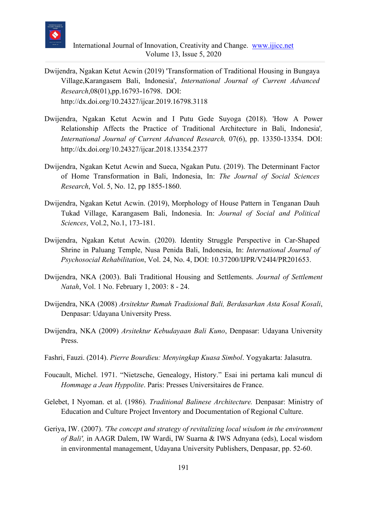

- Dwijendra, Ngakan Ketut Acwin (2019) 'Transformation of Traditional Housing in Bungaya Village,Karangasem Bali, Indonesia', *International Journal of Current Advanced Research*,08(01),pp.16793-16798. DOI: http://dx.doi.org/10.24327/ijcar.2019.16798.3118
- Dwijendra, Ngakan Ketut Acwin and I Putu Gede Suyoga (2018). 'How A Power Relationship Affects the Practice of Traditional Architecture in Bali, Indonesia'*, International Journal of Current Advanced Research,* 07(6), pp. 13350-13354. DOI: http://dx.doi.org/10.24327/ijcar.2018.13354.2377
- Dwijendra, Ngakan Ketut Acwin and Sueca, Ngakan Putu. (2019). The Determinant Factor of Home Transformation in Bali, Indonesia, In: *The Journal of Social Sciences Research*, Vol. 5, No. 12, pp 1855-1860.
- Dwijendra, Ngakan Ketut Acwin. (2019), Morphology of House Pattern in Tenganan Dauh Tukad Village, Karangasem Bali, Indonesia. In: *Journal of Social and Political Sciences*, Vol.2, No.1, 173-181.
- Dwijendra, Ngakan Ketut Acwin. (2020). [Identity Struggle Perspective in Car-Shaped](https://www.psychosocial.com/article/PR201653/13871/)  [Shrine in Paluang Temple, Nusa Penida Bali, Indonesia,](https://www.psychosocial.com/article/PR201653/13871/) In: *International Journal of Psychosocial Rehabilitation*, Vol. 24, No. 4, DOI: [10.37200/IJPR/V24I4/PR201653.](https://dx.doi.org/10.37200/IJPR/V24I4/PR201653)
- Dwijendra, NKA (2003). Bali Traditional Housing and Settlements. *Journal of Settlement Natah*, Vol. 1 No. February 1, 2003: 8 - 24.
- Dwijendra, NKA (2008) *Arsitektur Rumah Tradisional Bali, Berdasarkan Asta Kosal Kosali*, Denpasar: Udayana University Press.
- Dwijendra, NKA (2009) *Arsitektur Kebudayaan Bali Kuno*, Denpasar: Udayana University Press.
- Fashri, Fauzi. (2014). *Pierre Bourdieu: Menyingkap Kuasa Simbol*. Yogyakarta: Jalasutra.
- Foucault, Michel. 1971. "Nietzsche, Genealogy, History." Esai ini pertama kali muncul di *Hommage a Jean Hyppolite*. Paris: Presses Universitaires de France.
- Gelebet, I Nyoman. et al. (1986). *Traditional Balinese Architecture.* Denpasar: Ministry of Education and Culture Project Inventory and Documentation of Regional Culture.
- Geriya, IW. (2007). *'The concept and strategy of revitalizing local wisdom in the environment of Bali',* in AAGR Dalem, IW Wardi, IW Suarna & IWS Adnyana (eds), Local wisdom in environmental management, Udayana University Publishers, Denpasar, pp. 52-60.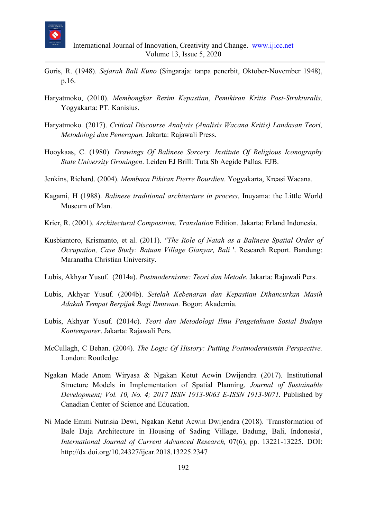

- Goris, R. (1948). *Sejarah Bali Kuno* (Singaraja: tanpa penerbit, Oktober-November 1948), p.16.
- Haryatmoko, (2010). *Membongkar Rezim Kepastian*, *Pemikiran Kritis Post-Strukturalis*. Yogyakarta: PT. Kanisius.
- Haryatmoko. (2017). *Critical Discourse Analysis (Analisis Wacana Kritis) Landasan Teori, Metodologi dan Penerapan.* Jakarta: Rajawali Press.
- Hooykaas, C. (1980). *Drawings Of Balinese Sorcery. Institute Of Religious Iconography State University Groningen*. Leiden EJ Brill: Tuta Sb Aegide Pallas. EJB.
- Jenkins, Richard. (2004). *Membaca Pikiran Pierre Bourdieu*. Yogyakarta, Kreasi Wacana.
- Kagami, H (1988). *Balinese traditional architecture in process*, Inuyama: the Little World Museum of Man.
- Krier, R. (2001). *Architectural Composition. Translation* Edition. Jakarta: Erland Indonesia.
- Kusbiantoro, Krismanto, et al. (2011). *"The Role of Natah as a Balinese Spatial Order of Occupation, Case Study: Batuan Village Gianyar, Bali* '. Research Report. Bandung: Maranatha Christian University.
- Lubis, Akhyar Yusuf. (2014a). *Postmodernisme: Teori dan Metode*. Jakarta: Rajawali Pers.
- Lubis, Akhyar Yusuf. (2004b). *Setelah Kebenaran dan Kepastian Dihancurkan Masih Adakah Tempat Berpijak Bagi Ilmuwan.* Bogor: Akademia.
- Lubis, Akhyar Yusuf. (2014c). *Teori dan Metodologi Ilmu Pengetahuan Sosial Budaya Kontemporer*. Jakarta: Rajawali Pers.
- McCullagh, C Behan. (2004). *The Logic Of History: Putting Postmodernismin Perspective.* London: Routledge*.*
- Ngakan Made Anom Wiryasa & Ngakan Ketut Acwin Dwijendra (2017). Institutional Structure Models in Implementation of Spatial Planning. *Journal of Sustainable Development; Vol. 10, No. 4; 2017 ISSN 1913-9063 E-ISSN 1913-9071.* Published by Canadian Center of Science and Education.
- Ni Made Emmi Nutrisia Dewi, Ngakan Ketut Acwin Dwijendra (2018). 'Transformation of Bale Daja Architecture in Housing of Sading Village, Badung, Bali, Indonesia', *International Journal of Current Advanced Research,* 07(6), pp. 13221-13225. DOI: http://dx.doi.org/10.24327/ijcar.2018.13225.2347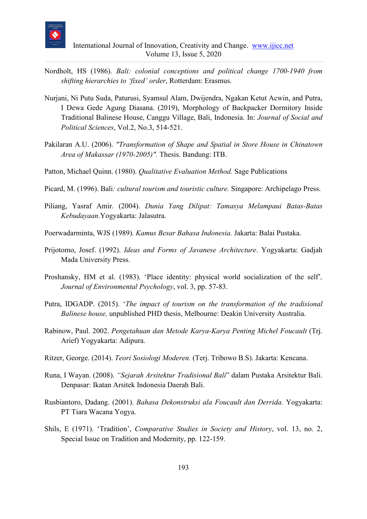

- Nordholt, HS (1986). *Bali: colonial conceptions and political change 1700-1940 from shifting hierarchies to 'fixed' order*, Rotterdam: Erasmus.
- Nurjani, Ni Putu Suda, Paturusi, Syamsul Alam, Dwijendra, Ngakan Ketut Acwin, and Putra, I Dewa Gede Agung Diasana. (2019), Morphology of Backpacker Dormitory Inside Traditional Balinese House, Canggu Village, Bali, Indonesia. In: *Journal of Social and Political Sciences*, Vol.2, No.3, 514-521.
- Pakilaran A.U. (2006). *"Transformation of Shape and Spatial in Store House in Chinatown Area of Makassar (1970-2005)".* Thesis. Bandung: ITB.
- Patton, Michael Quinn. (1980). *Qualitative Evaluation Method.* Sage Publications
- Picard, M. (1996). Bali*: cultural tourism and touristic culture.* Singapore: Archipelago Press.
- Piliang, Yasraf Amir. (2004). *Dunia Yang Dilipat: Tamasya Melampaui Batas-Batas Kebudayaan.*Yogyakarta: Jalasutra.
- Poerwadarminta, WJS (1989). *Kamus Besar Bahasa Indonesia.* Jakarta: Balai Pustaka.
- Prijotomo, Josef. (1992). *Ideas and Forms of Javanese Architecture*. Yogyakarta: Gadjah Mada University Press.
- Proshansky, HM et al. (1983). 'Place identity: physical world socialization of the self'*, Journal of Environmental Psychology*, vol. 3, pp. 57-83.
- Putra, IDGADP. (2015). '*The impact of tourism on the transformation of the tradisional Balinese house,* unpublished PHD thesis, Melbourne: Deakin University Australia.
- Rabinow, Paul. 2002. *Pengetahuan dan Metode Karya-Karya Penting Michel Foucault* (Trj. Arief) Yogyakarta: Adipura.
- Ritzer, George. (2014). *Teori Sosiologi Moderen.* (Terj. Tribowo B.S). Jakarta: Kencana.
- Runa, I Wayan. (2008). *"Sejarah Arsitektur Tradisional Bali*" dalam Pustaka Arsitektur Bali. Denpasar: Ikatan Arsitek Indonesia Daerah Bali.
- Rusbiantoro, Dadang. (2001). *Bahasa Dekonstruksi ala Foucault dan Derrida.* Yogyakarta: PT Tiara Wacana Yogya.
- Shils, E (1971). 'Tradition', *Comparative Studies in Society and History*, vol. 13, no. 2, Special Issue on Tradition and Modernity, pp. 122-159.